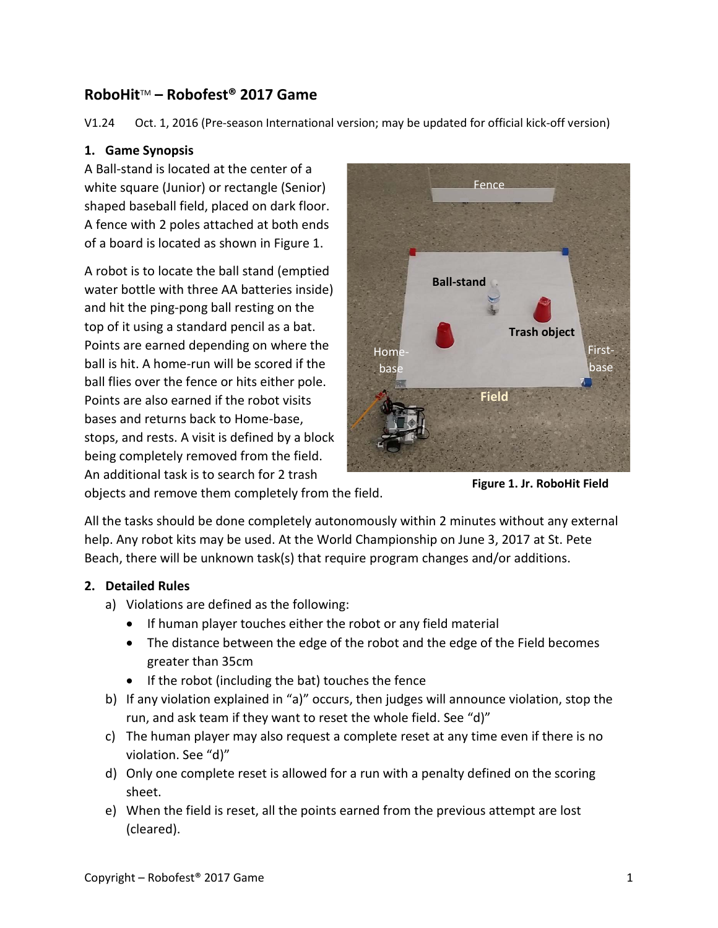# **RoboHit**TM **– Robofest® 2017 Game**

V1.24 Oct. 1, 2016 (Pre-season International version; may be updated for official kick-off version)

## **1. Game Synopsis**

A Ball-stand is located at the center of a white square (Junior) or rectangle (Senior) shaped baseball field, placed on dark floor. A fence with 2 poles attached at both ends of a board is located as shown in Figure 1.

A robot is to locate the ball stand (emptied water bottle with three AA batteries inside) and hit the ping-pong ball resting on the top of it using a standard pencil as a bat. Points are earned depending on where the ball is hit. A home-run will be scored if the ball flies over the fence or hits either pole. Points are also earned if the robot visits bases and returns back to Home-base, stops, and rests. A visit is defined by a block being completely removed from the field. An additional task is to search for 2 trash



objects and remove them completely from the field.

**Figure 1. Jr. RoboHit Field**

All the tasks should be done completely autonomously within 2 minutes without any external help. Any robot kits may be used. At the World Championship on June 3, 2017 at St. Pete Beach, there will be unknown task(s) that require program changes and/or additions.

# **2. Detailed Rules**

- a) Violations are defined as the following:
	- If human player touches either the robot or any field material
	- The distance between the edge of the robot and the edge of the Field becomes greater than 35cm
	- If the robot (including the bat) touches the fence
- b) If any violation explained in "a)" occurs, then judges will announce violation, stop the run, and ask team if they want to reset the whole field. See "d)"
- c) The human player may also request a complete reset at any time even if there is no violation. See "d)"
- d) Only one complete reset is allowed for a run with a penalty defined on the scoring sheet.
- e) When the field is reset, all the points earned from the previous attempt are lost (cleared).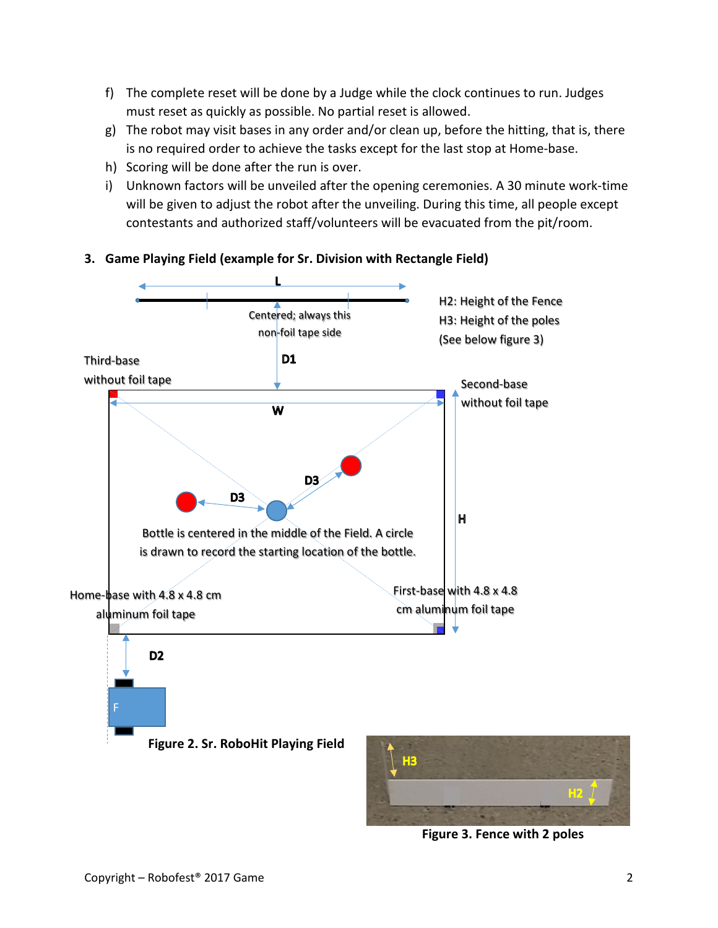- f) The complete reset will be done by a Judge while the clock continues to run. Judges must reset as quickly as possible. No partial reset is allowed.
- g) The robot may visit bases in any order and/or clean up, before the hitting, that is, there is no required order to achieve the tasks except for the last stop at Home-base.
- h) Scoring will be done after the run is over.
- i) Unknown factors will be unveiled after the opening ceremonies. A 30 minute work-time will be given to adjust the robot after the unveiling. During this time, all people except contestants and authorized staff/volunteers will be evacuated from the pit/room.



# **3. Game Playing Field (example for Sr. Division with Rectangle Field)**

**Figure 3. Fence with 2 poles**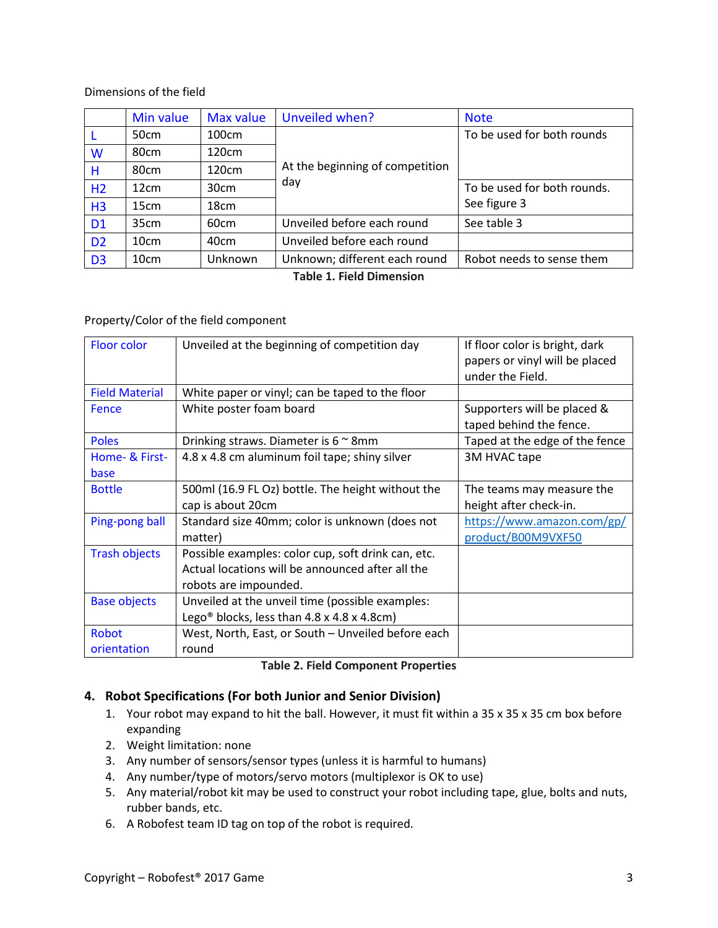#### Dimensions of the field

|                | Min value | <b>Max value</b> | Unveiled when?                         | <b>Note</b>                 |
|----------------|-----------|------------------|----------------------------------------|-----------------------------|
|                | 50cm      | 100cm            | At the beginning of competition<br>day | To be used for both rounds  |
| W              | 80cm      | 120cm            |                                        |                             |
| н              | 80cm      | 120cm            |                                        |                             |
| H <sub>2</sub> | 12cm      | 30cm             |                                        | To be used for both rounds. |
| H <sub>3</sub> | 15cm      | 18cm             |                                        | See figure 3                |
| D <sub>1</sub> | 35cm      | 60 <sub>cm</sub> | Unveiled before each round             | See table 3                 |
| D <sub>2</sub> | 10cm      | 40cm             | Unveiled before each round             |                             |
| D <sub>3</sub> | 10cm      | Unknown          | Unknown; different each round          | Robot needs to sense them   |

**Table 1. Field Dimension**

#### Property/Color of the field component

| Floor color                 | Unveiled at the beginning of competition day                                                                                    | If floor color is bright, dark<br>papers or vinyl will be placed<br>under the Field. |
|-----------------------------|---------------------------------------------------------------------------------------------------------------------------------|--------------------------------------------------------------------------------------|
| <b>Field Material</b>       | White paper or vinyl; can be taped to the floor                                                                                 |                                                                                      |
| <b>Fence</b>                | White poster foam board                                                                                                         | Supporters will be placed &<br>taped behind the fence.                               |
| <b>Poles</b>                | Drinking straws. Diameter is $6 \approx 8$ mm                                                                                   | Taped at the edge of the fence                                                       |
| Home- & First-<br>base      | 4.8 x 4.8 cm aluminum foil tape; shiny silver                                                                                   | 3M HVAC tape                                                                         |
| <b>Bottle</b>               | 500ml (16.9 FL Oz) bottle. The height without the<br>cap is about 20cm                                                          | The teams may measure the<br>height after check-in.                                  |
| Ping-pong ball              | Standard size 40mm; color is unknown (does not<br>matter)                                                                       | https://www.amazon.com/gp/<br>product/B00M9VXF50                                     |
| <b>Trash objects</b>        | Possible examples: color cup, soft drink can, etc.<br>Actual locations will be announced after all the<br>robots are impounded. |                                                                                      |
| <b>Base objects</b>         | Unveiled at the unveil time (possible examples:<br>Lego <sup>®</sup> blocks, less than $4.8 \times 4.8 \times 4.8$ cm)          |                                                                                      |
| <b>Robot</b><br>orientation | West, North, East, or South - Unveiled before each<br>round                                                                     |                                                                                      |

#### **Table 2. Field Component Properties**

# **4. Robot Specifications (For both Junior and Senior Division)**

- 1. Your robot may expand to hit the ball. However, it must fit within a 35 x 35 x 35 cm box before expanding
- 2. Weight limitation: none
- 3. Any number of sensors/sensor types (unless it is harmful to humans)
- 4. Any number/type of motors/servo motors (multiplexor is OK to use)
- 5. Any material/robot kit may be used to construct your robot including tape, glue, bolts and nuts, rubber bands, etc.
- 6. A Robofest team ID tag on top of the robot is required.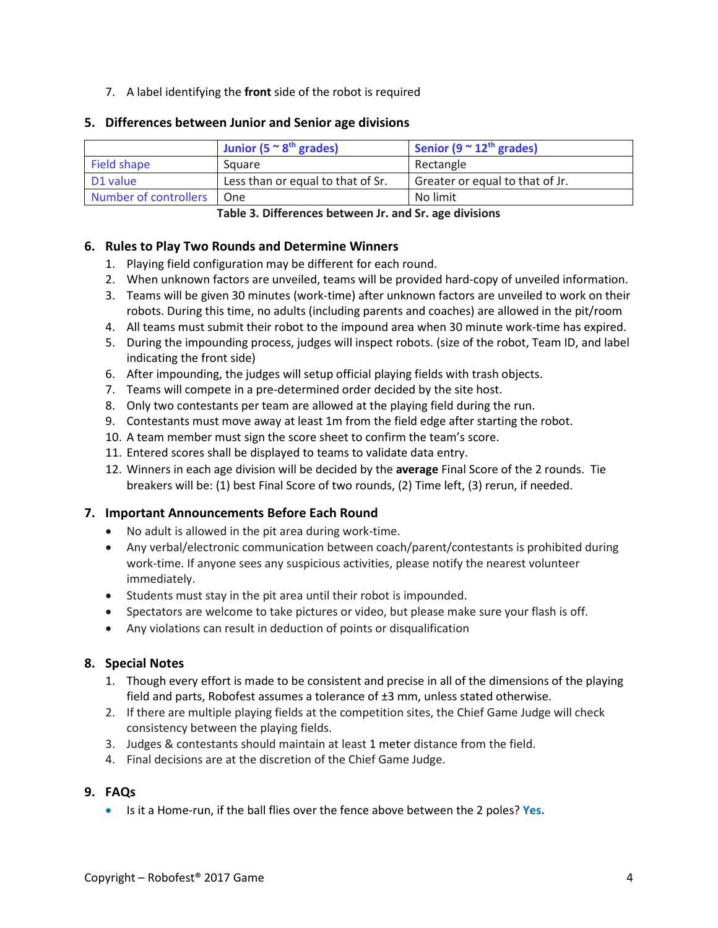7. A label identifying the **front** side of the robot is required

#### **5. Differences between Junior and Senior age divisions**

|                             | Junior (5 $\approx$ 8 <sup>th</sup> grades) | Senior (9 $\approx$ 12 <sup>th</sup> grades) |
|-----------------------------|---------------------------------------------|----------------------------------------------|
| Field shape                 | Square                                      | Rectangle                                    |
| D1 value                    | Less than or equal to that of Sr.           | Greater or equal to that of Jr.              |
| Number of controllers   One |                                             | No limit                                     |

**Table 3. Differences between Jr. and Sr. age divisions**

#### **6. Rules to Play Two Rounds and Determine Winners**

- 1. Playing field configuration may be different for each round.
- 2. When unknown factors are unveiled, teams will be provided hard-copy of unveiled information.
- 3. Teams will be given 30 minutes (work-time) after unknown factors are unveiled to work on their robots. During this time, no adults (including parents and coaches) are allowed in the pit/room
- 4. All teams must submit their robot to the impound area when 30 minute work-time has expired.
- 5. During the impounding process, judges will inspect robots. (size of the robot, Team ID, and label indicating the front side)
- 6. After impounding, the judges will setup official playing fields with trash objects.
- 7. Teams will compete in a pre-determined order decided by the site host.
- 8. Only two contestants per team are allowed at the playing field during the run.
- 9. Contestants must move away at least 1m from the field edge after starting the robot.
- 10. A team member must sign the score sheet to confirm the team's score.
- 11. Entered scores shall be displayed to teams to validate data entry.
- 12. Winners in each age division will be decided by the **average** Final Score of the 2 rounds. Tie breakers will be: (1) best Final Score of two rounds, (2) Time left, (3) rerun, if needed.

## **7. Important Announcements Before Each Round**

- No adult is allowed in the pit area during work-time.
- Any verbal/electronic communication between coach/parent/contestants is prohibited during work-time. If anyone sees any suspicious activities, please notify the nearest volunteer immediately.
- Students must stay in the pit area until their robot is impounded.
- Spectators are welcome to take pictures or video, but please make sure your flash is off.
- Any violations can result in deduction of points or disqualification

## **8. Special Notes**

- 1. Though every effort is made to be consistent and precise in all of the dimensions of the playing field and parts, Robofest assumes a tolerance of  $\pm 3$  mm, unless stated otherwise.
- 2. If there are multiple playing fields at the competition sites, the Chief Game Judge will check consistency between the playing fields.
- 3. Judges & contestants should maintain at least 1 meter distance from the field.
- 4. Final decisions are at the discretion of the Chief Game Judge.

## **9. FAQs**

• Is it a Home-run, if the ball flies over the fence above between the 2 poles? **Yes.**